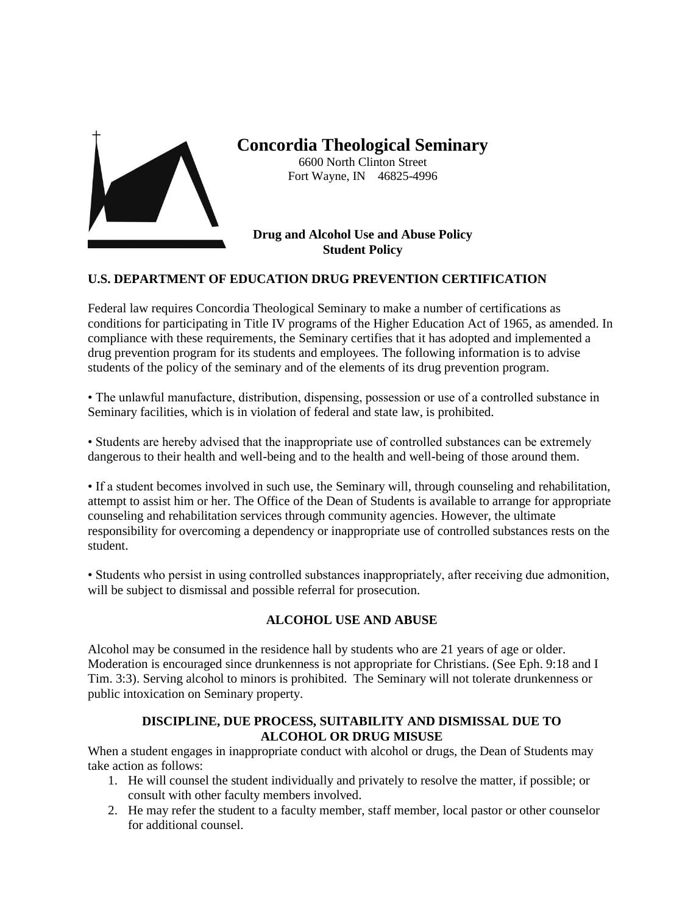

**Concordia Theological Seminary** 6600 North Clinton Street Fort Wayne, IN 46825-4996

## **Drug and Alcohol Use and Abuse Policy Student Policy**

## **U.S. DEPARTMENT OF EDUCATION DRUG PREVENTION CERTIFICATION**

Federal law requires Concordia Theological Seminary to make a number of certifications as conditions for participating in Title IV programs of the Higher Education Act of 1965, as amended. In compliance with these requirements, the Seminary certifies that it has adopted and implemented a drug prevention program for its students and employees. The following information is to advise students of the policy of the seminary and of the elements of its drug prevention program.

• The unlawful manufacture, distribution, dispensing, possession or use of a controlled substance in Seminary facilities, which is in violation of federal and state law, is prohibited.

• Students are hereby advised that the inappropriate use of controlled substances can be extremely dangerous to their health and well-being and to the health and well-being of those around them.

• If a student becomes involved in such use, the Seminary will, through counseling and rehabilitation, attempt to assist him or her. The Office of the Dean of Students is available to arrange for appropriate counseling and rehabilitation services through community agencies. However, the ultimate responsibility for overcoming a dependency or inappropriate use of controlled substances rests on the student.

• Students who persist in using controlled substances inappropriately, after receiving due admonition, will be subject to dismissal and possible referral for prosecution.

## **ALCOHOL USE AND ABUSE**

Alcohol may be consumed in the residence hall by students who are 21 years of age or older. Moderation is encouraged since drunkenness is not appropriate for Christians. (See Eph. 9:18 and I Tim. 3:3). Serving alcohol to minors is prohibited. The Seminary will not tolerate drunkenness or public intoxication on Seminary property.

## **DISCIPLINE, DUE PROCESS, SUITABILITY AND DISMISSAL DUE TO ALCOHOL OR DRUG MISUSE**

When a student engages in inappropriate conduct with alcohol or drugs, the Dean of Students may take action as follows:

- 1. He will counsel the student individually and privately to resolve the matter, if possible; or consult with other faculty members involved.
- 2. He may refer the student to a faculty member, staff member, local pastor or other counselor for additional counsel.